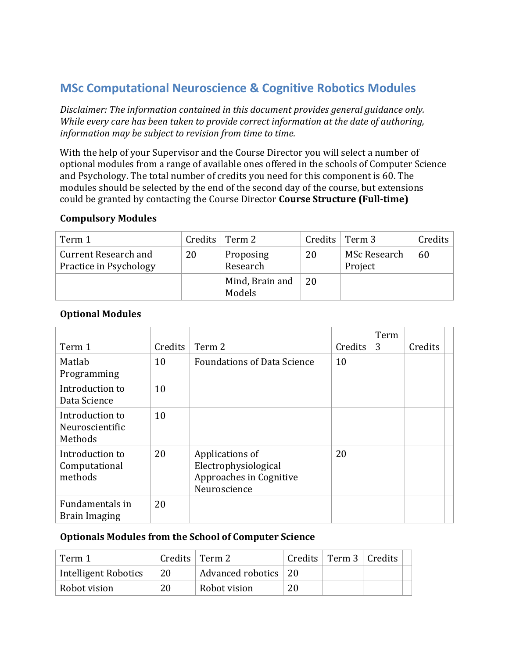# **MSc Computational Neuroscience & Cognitive Robotics Modules**

*Disclaimer: The information contained in this document provides general guidance only. While every care has been taken to provide correct information at the date of authoring, information may be subject to revision from time to time.* 

With the help of your Supervisor and the Course Director you will select a number of optional modules from a range of available ones offered in the schools of Computer Science and Psychology. The total number of credits you need for this component is 60. The modules should be selected by the end of the second day of the course, but extensions could be granted by contacting the Course Director **Course Structure (Full-time)** 

#### **Compulsory Modules**

| Term 1                                                |    | Credits $\vert$ Term 2    | Credits | Term 3                  | Credits |
|-------------------------------------------------------|----|---------------------------|---------|-------------------------|---------|
| <b>Current Research and</b><br>Practice in Psychology | 20 | Proposing<br>Research     | 20      | MSc Research<br>Project | 60      |
|                                                       |    | Mind, Brain and<br>Models | 20      |                         |         |

### **Optional Modules**

| Term 1                                        | Credits | Term 2                                                                             | Credits | Term<br>3 | Credits |  |
|-----------------------------------------------|---------|------------------------------------------------------------------------------------|---------|-----------|---------|--|
| Matlab                                        | 10      | <b>Foundations of Data Science</b>                                                 | 10      |           |         |  |
| Programming                                   |         |                                                                                    |         |           |         |  |
| Introduction to<br>Data Science               | 10      |                                                                                    |         |           |         |  |
| Introduction to<br>Neuroscientific<br>Methods | 10      |                                                                                    |         |           |         |  |
| Introduction to<br>Computational<br>methods   | 20      | Applications of<br>Electrophysiological<br>Approaches in Cognitive<br>Neuroscience | 20      |           |         |  |
| Fundamentals in<br><b>Brain Imaging</b>       | 20      |                                                                                    |         |           |         |  |

#### **Optionals Modules from the School of Computer Science**

| Term 1               | Credits $\vert$ Term 2 |                      |    | Credits $\vert$ Term 3 $\vert$ Credits |  |
|----------------------|------------------------|----------------------|----|----------------------------------------|--|
| Intelligent Robotics | 20                     | Advanced robotics 20 |    |                                        |  |
| Robot vision         | 20                     | Robot vision         | 20 |                                        |  |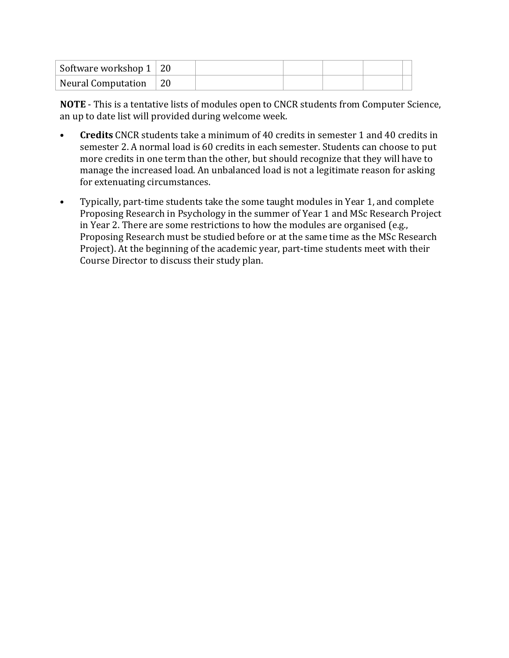| Software workshop $1 \mid 20$ |  |  |  |
|-------------------------------|--|--|--|
| Neural Computation 20         |  |  |  |

**NOTE** - This is a tentative lists of modules open to CNCR students from Computer Science, an up to date list will provided during welcome week.

- **Credits** CNCR students take a minimum of 40 credits in semester 1 and 40 credits in semester 2. A normal load is 60 credits in each semester. Students can choose to put more credits in one term than the other, but should recognize that they will have to manage the increased load. An unbalanced load is not a legitimate reason for asking for extenuating circumstances.
- Typically, part-time students take the some taught modules in Year 1, and complete Proposing Research in Psychology in the summer of Year 1 and MSc Research Project in Year 2. There are some restrictions to how the modules are organised (e.g., Proposing Research must be studied before or at the same time as the MSc Research Project). At the beginning of the academic year, part-time students meet with their Course Director to discuss their study plan.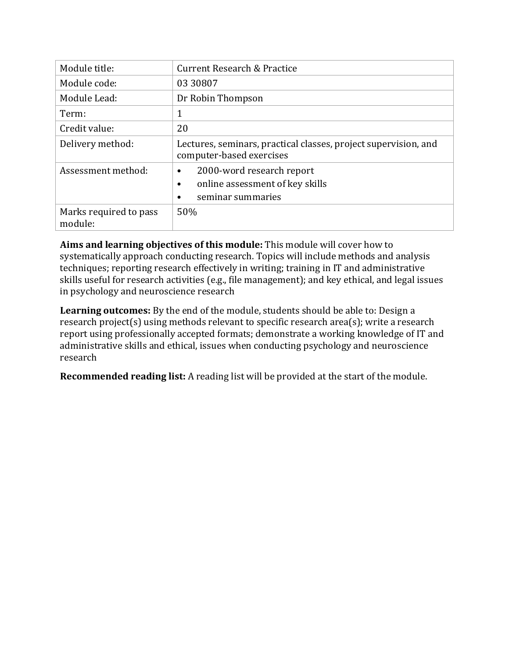| Module title:                     | <b>Current Research &amp; Practice</b>                                                                      |
|-----------------------------------|-------------------------------------------------------------------------------------------------------------|
| Module code:                      | 03 30 807                                                                                                   |
| Module Lead:                      | Dr Robin Thompson                                                                                           |
| Term:                             | 1                                                                                                           |
| Credit value:                     | 20                                                                                                          |
| Delivery method:                  | Lectures, seminars, practical classes, project supervision, and<br>computer-based exercises                 |
| Assessment method:                | 2000-word research report<br>$\bullet$<br>online assessment of key skills<br>$\bullet$<br>seminar summaries |
| Marks required to pass<br>module: | 50%                                                                                                         |

Aims and learning objectives of this module: This module will cover how to systematically approach conducting research. Topics will include methods and analysis techniques; reporting research effectively in writing; training in IT and administrative skills useful for research activities (e.g., file management); and key ethical, and legal issues in psychology and neuroscience research

**Learning outcomes:** By the end of the module, students should be able to: Design a research project(s) using methods relevant to specific research area(s); write a research report using professionally accepted formats; demonstrate a working knowledge of IT and administrative skills and ethical, issues when conducting psychology and neuroscience research

**Recommended reading list:** A reading list will be provided at the start of the module.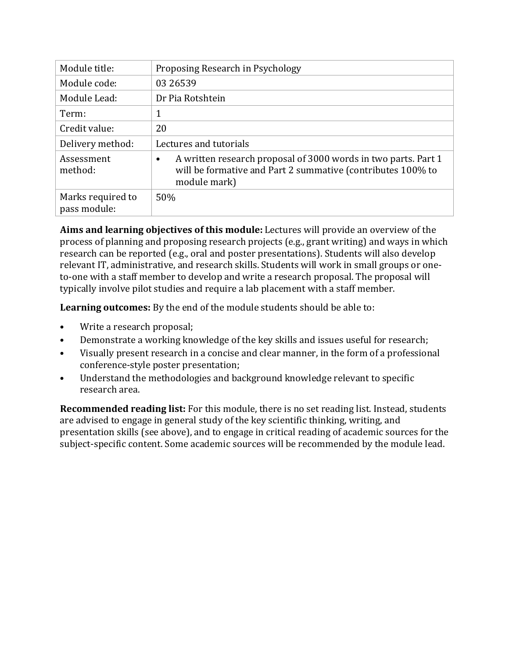| Module title:                     | Proposing Research in Psychology                                                                                                              |
|-----------------------------------|-----------------------------------------------------------------------------------------------------------------------------------------------|
| Module code:                      | 03 26539                                                                                                                                      |
| Module Lead:                      | Dr Pia Rotshtein                                                                                                                              |
| Term:                             |                                                                                                                                               |
| Credit value:                     | 20                                                                                                                                            |
| Delivery method:                  | Lectures and tutorials                                                                                                                        |
| Assessment<br>method:             | A written research proposal of 3000 words in two parts. Part 1<br>will be formative and Part 2 summative (contributes 100% to<br>module mark) |
| Marks required to<br>pass module: | 50%                                                                                                                                           |

**Aims and learning objectives of this module:** Lectures will provide an overview of the process of planning and proposing research projects (e.g., grant writing) and ways in which research can be reported (e.g., oral and poster presentations). Students will also develop relevant IT, administrative, and research skills. Students will work in small groups or oneto-one with a staff member to develop and write a research proposal. The proposal will typically involve pilot studies and require a lab placement with a staff member.

**Learning outcomes:** By the end of the module students should be able to:

- Write a research proposal;
- Demonstrate a working knowledge of the key skills and issues useful for research;
- Visually present research in a concise and clear manner, in the form of a professional conference-style poster presentation;
- Understand the methodologies and background knowledge relevant to specific research area.

**Recommended reading list:** For this module, there is no set reading list. Instead, students are advised to engage in general study of the key scientific thinking, writing, and presentation skills (see above), and to engage in critical reading of academic sources for the subject-specific content. Some academic sources will be recommended by the module lead.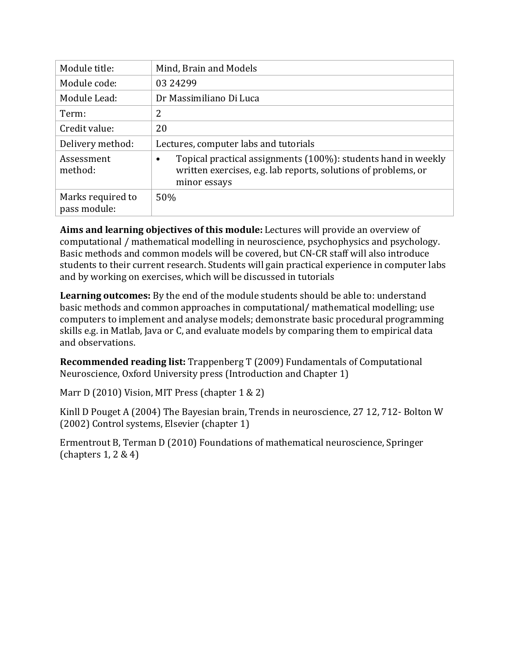| Module title:                     | Mind, Brain and Models                                                                                                                                       |
|-----------------------------------|--------------------------------------------------------------------------------------------------------------------------------------------------------------|
| Module code:                      | 03 24 299                                                                                                                                                    |
| Module Lead:                      | Dr Massimiliano Di Luca                                                                                                                                      |
| Term:                             | 2                                                                                                                                                            |
| Credit value:                     | 20                                                                                                                                                           |
| Delivery method:                  | Lectures, computer labs and tutorials                                                                                                                        |
| Assessment<br>method:             | Topical practical assignments (100%): students hand in weekly<br>$\bullet$<br>written exercises, e.g. lab reports, solutions of problems, or<br>minor essays |
| Marks required to<br>pass module: | 50%                                                                                                                                                          |

**Aims and learning objectives of this module:** Lectures will provide an overview of computational / mathematical modelling in neuroscience, psychophysics and psychology. Basic methods and common models will be covered, but CN-CR staff will also introduce students to their current research. Students will gain practical experience in computer labs and by working on exercises, which will be discussed in tutorials

**Learning outcomes:** By the end of the module students should be able to: understand basic methods and common approaches in computational/ mathematical modelling; use computers to implement and analyse models; demonstrate basic procedural programming skills e.g. in Matlab, Java or C, and evaluate models by comparing them to empirical data and observations.

**Recommended reading list:** Trappenberg T (2009) Fundamentals of Computational Neuroscience, Oxford University press (Introduction and Chapter 1)

Marr D (2010) Vision, MIT Press (chapter  $1 \& 2$ )

Kinll D Pouget A (2004) The Bayesian brain, Trends in neuroscience, 27 12, 712- Bolton W (2002) Control systems, Elsevier (chapter 1)

Ermentrout B, Terman D (2010) Foundations of mathematical neuroscience, Springer (chapters  $1, 2 \& 4$ )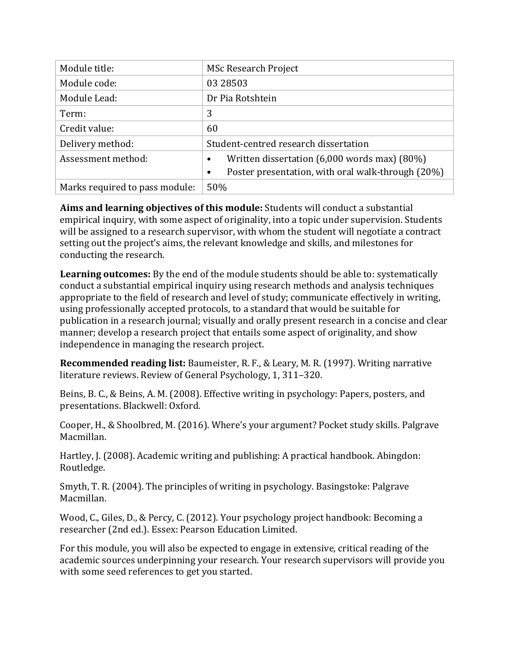| Module title:                  | <b>MSc Research Project</b>                       |
|--------------------------------|---------------------------------------------------|
| Module code:                   | 03 28503                                          |
| Module Lead:                   | Dr Pia Rotshtein                                  |
| Term:                          | 3                                                 |
| Credit value:                  | 60                                                |
| Delivery method:               | Student-centred research dissertation             |
| Assessment method:             | Written dissertation (6,000 words max) (80%)      |
|                                | Poster presentation, with oral walk-through (20%) |
| Marks required to pass module: | 50%                                               |

**Aims and learning objectives of this module:** Students will conduct a substantial empirical inquiry, with some aspect of originality, into a topic under supervision. Students will be assigned to a research supervisor, with whom the student will negotiate a contract setting out the project's aims, the relevant knowledge and skills, and milestones for conducting the research.

**Learning outcomes:** By the end of the module students should be able to: systematically conduct a substantial empirical inquiry using research methods and analysis techniques appropriate to the field of research and level of study; communicate effectively in writing, using professionally accepted protocols, to a standard that would be suitable for publication in a research journal; visually and orally present research in a concise and clear manner; develop a research project that entails some aspect of originality, and show independence in managing the research project.

**Recommended reading list:** Baumeister, R. F., & Leary, M. R. (1997). Writing narrative literature reviews. Review of General Psychology, 1, 311-320.

Beins, B. C., & Beins, A. M. (2008). Effective writing in psychology: Papers, posters, and presentations. Blackwell: Oxford.

Cooper, H., & Shoolbred, M. (2016). Where's your argument? Pocket study skills. Palgrave Macmillan.

Hartley, J. (2008). Academic writing and publishing: A practical handbook. Abingdon: Routledge.

Smyth, T. R. (2004). The principles of writing in psychology. Basingstoke: Palgrave Macmillan.

Wood, C., Giles, D., & Percy, C. (2012). Your psychology project handbook: Becoming a researcher (2nd ed.). Essex: Pearson Education Limited.

For this module, you will also be expected to engage in extensive, critical reading of the academic sources underpinning your research. Your research supervisors will provide you with some seed references to get you started.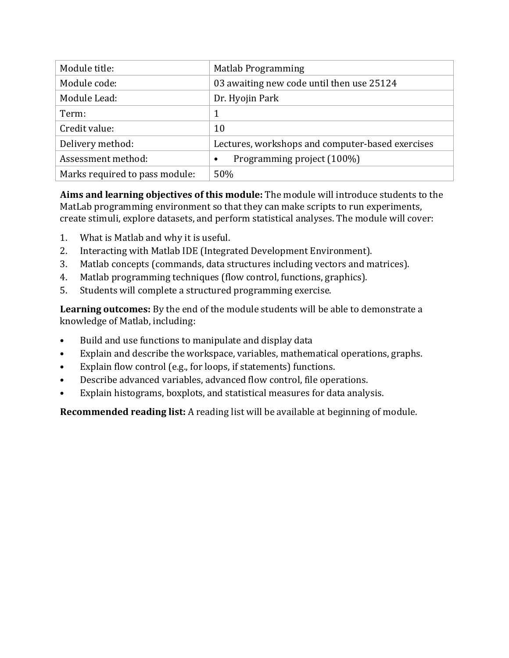| Module title:                  | <b>Matlab Programming</b>                        |
|--------------------------------|--------------------------------------------------|
| Module code:                   | 03 awaiting new code until then use 25124        |
| Module Lead:                   | Dr. Hyojin Park                                  |
| Term:                          | 1                                                |
| Credit value:                  | 10                                               |
| Delivery method:               | Lectures, workshops and computer-based exercises |
| Assessment method:             | Programming project (100%)<br>٠                  |
| Marks required to pass module: | 50%                                              |

Aims and learning objectives of this module: The module will introduce students to the MatLab programming environment so that they can make scripts to run experiments, create stimuli, explore datasets, and perform statistical analyses. The module will cover:

- 1. What is Matlab and why it is useful.
- 2. Interacting with Matlab IDE (Integrated Development Environment).
- 3. Matlab concepts (commands, data structures including vectors and matrices).
- 4. Matlab programming techniques (flow control, functions, graphics).
- 5. Students will complete a structured programming exercise.

**Learning outcomes:** By the end of the module students will be able to demonstrate a knowledge of Matlab, including:

- Build and use functions to manipulate and display data
- Explain and describe the workspace, variables, mathematical operations, graphs.
- Explain flow control (e.g., for loops, if statements) functions.
- Describe advanced variables, advanced flow control, file operations.
- Explain histograms, boxplots, and statistical measures for data analysis.

**Recommended reading list:** A reading list will be available at beginning of module.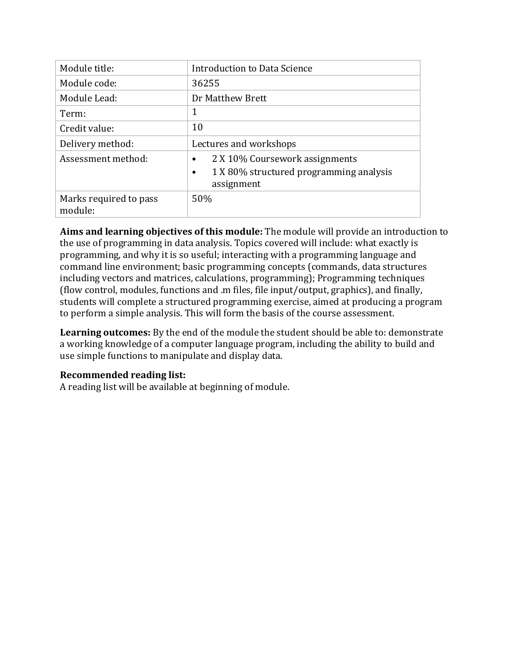| Module title:                     | Introduction to Data Science                                                                                      |
|-----------------------------------|-------------------------------------------------------------------------------------------------------------------|
| Module code:                      | 36255                                                                                                             |
| Module Lead:                      | Dr Matthew Brett                                                                                                  |
| Term:                             | 1                                                                                                                 |
| Credit value:                     | 10                                                                                                                |
| Delivery method:                  | Lectures and workshops                                                                                            |
| Assessment method:                | 2 X 10% Coursework assignments<br>$\bullet$<br>1 X 80% structured programming analysis<br>$\bullet$<br>assignment |
| Marks required to pass<br>module: | 50%                                                                                                               |

Aims and learning objectives of this module: The module will provide an introduction to the use of programming in data analysis. Topics covered will include: what exactly is programming, and why it is so useful; interacting with a programming language and command line environment; basic programming concepts (commands, data structures including vectors and matrices, calculations, programming); Programming techniques (flow control, modules, functions and  $\ldots$  files, file input/output, graphics), and finally, students will complete a structured programming exercise, aimed at producing a program to perform a simple analysis. This will form the basis of the course assessment.

**Learning outcomes:** By the end of the module the student should be able to: demonstrate a working knowledge of a computer language program, including the ability to build and use simple functions to manipulate and display data.

# **Recommended reading list:**

A reading list will be available at beginning of module.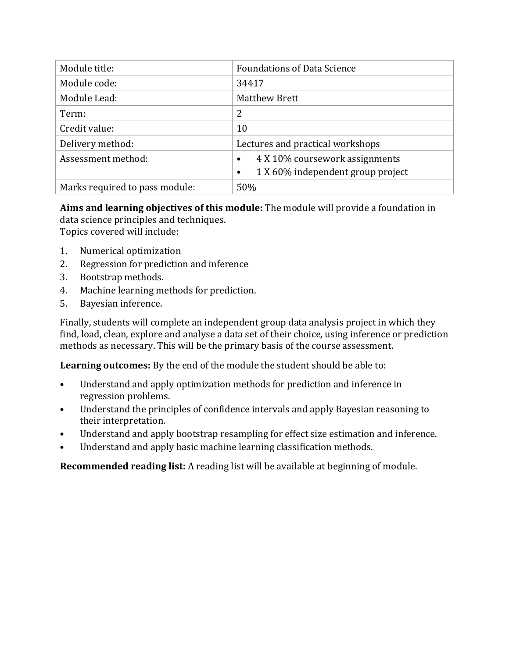| Module title:                  | <b>Foundations of Data Science</b>             |
|--------------------------------|------------------------------------------------|
| Module code:                   | 34417                                          |
| Module Lead:                   | <b>Matthew Brett</b>                           |
| Term:                          | 2                                              |
| Credit value:                  | 10                                             |
| Delivery method:               | Lectures and practical workshops               |
| Assessment method:             | 4 X 10% coursework assignments<br>$\bullet$    |
|                                | 1 X 60% independent group project<br>$\bullet$ |
| Marks required to pass module: | 50%                                            |

**Aims and learning objectives of this module:** The module will provide a foundation in data science principles and techniques. Topics covered will include:

- 1. Numerical optimization
- 2. Regression for prediction and inference
- 3. Bootstrap methods.
- 4. Machine learning methods for prediction.
- 5. Bayesian inference.

Finally, students will complete an independent group data analysis project in which they find, load, clean, explore and analyse a data set of their choice, using inference or prediction methods as necessary. This will be the primary basis of the course assessment.

**Learning outcomes:** By the end of the module the student should be able to:

- Understand and apply optimization methods for prediction and inference in regression problems.
- Understand the principles of confidence intervals and apply Bayesian reasoning to their interpretation.
- Understand and apply bootstrap resampling for effect size estimation and inference.
- Understand and apply basic machine learning classification methods.

**Recommended reading list:** A reading list will be available at beginning of module.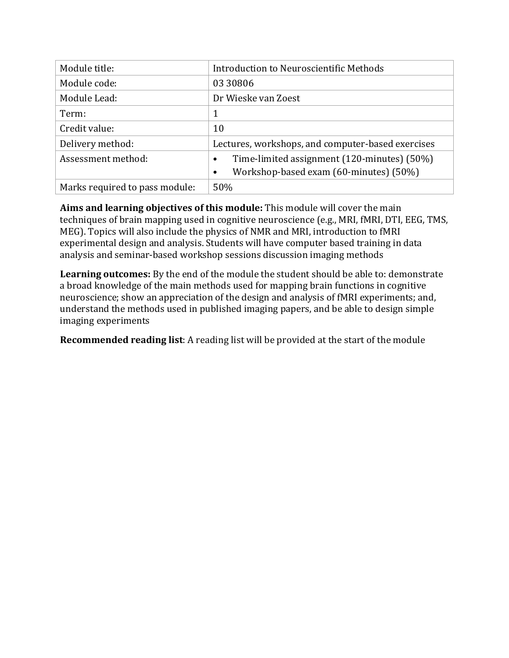| Module title:                  | Introduction to Neuroscientific Methods                  |
|--------------------------------|----------------------------------------------------------|
| Module code:                   | 03 30806                                                 |
| Module Lead:                   | Dr Wieske van Zoest                                      |
| Term:                          | 1                                                        |
| Credit value:                  | 10                                                       |
| Delivery method:               | Lectures, workshops, and computer-based exercises        |
| Assessment method:             | Time-limited assignment (120-minutes) (50%)<br>$\bullet$ |
|                                | Workshop-based exam (60-minutes) (50%)                   |
| Marks required to pass module: | 50%                                                      |

Aims and learning objectives of this module: This module will cover the main techniques of brain mapping used in cognitive neuroscience (e.g., MRI, fMRI, DTI, EEG, TMS, MEG). Topics will also include the physics of NMR and MRI, introduction to fMRI experimental design and analysis. Students will have computer based training in data analysis and seminar-based workshop sessions discussion imaging methods

Learning outcomes: By the end of the module the student should be able to: demonstrate a broad knowledge of the main methods used for mapping brain functions in cognitive neuroscience; show an appreciation of the design and analysis of fMRI experiments; and, understand the methods used in published imaging papers, and be able to design simple imaging experiments

**Recommended reading list:** A reading list will be provided at the start of the module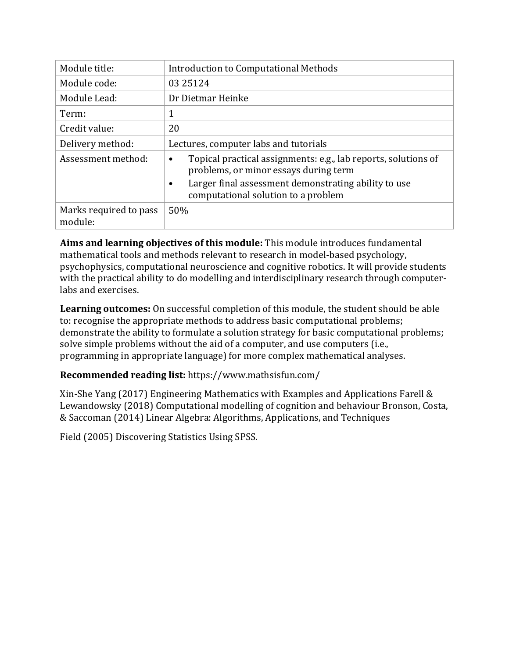| Module title:                     | Introduction to Computational Methods                                                                                |  |
|-----------------------------------|----------------------------------------------------------------------------------------------------------------------|--|
| Module code:                      | 03 25124                                                                                                             |  |
| Module Lead:                      | Dr Dietmar Heinke                                                                                                    |  |
| Term:                             | 1                                                                                                                    |  |
| Credit value:                     | 20                                                                                                                   |  |
| Delivery method:                  | Lectures, computer labs and tutorials                                                                                |  |
| Assessment method:                | Topical practical assignments: e.g., lab reports, solutions of<br>$\bullet$<br>problems, or minor essays during term |  |
|                                   | Larger final assessment demonstrating ability to use<br>$\bullet$<br>computational solution to a problem             |  |
| Marks required to pass<br>module: | 50%                                                                                                                  |  |

Aims and learning objectives of this module: This module introduces fundamental mathematical tools and methods relevant to research in model-based psychology, psychophysics, computational neuroscience and cognitive robotics. It will provide students with the practical ability to do modelling and interdisciplinary research through computerlabs and exercises.

Learning outcomes: On successful completion of this module, the student should be able to: recognise the appropriate methods to address basic computational problems; demonstrate the ability to formulate a solution strategy for basic computational problems; solve simple problems without the aid of a computer, and use computers (i.e., programming in appropriate language) for more complex mathematical analyses.

# **Recommended reading list:** https://www.mathsisfun.com/

 $X$ in-She Yang (2017) Engineering Mathematics with Examples and Applications Farell & Lewandowsky (2018) Computational modelling of cognition and behaviour Bronson, Costa, & Saccoman (2014) Linear Algebra: Algorithms, Applications, and Techniques

Field (2005) Discovering Statistics Using SPSS.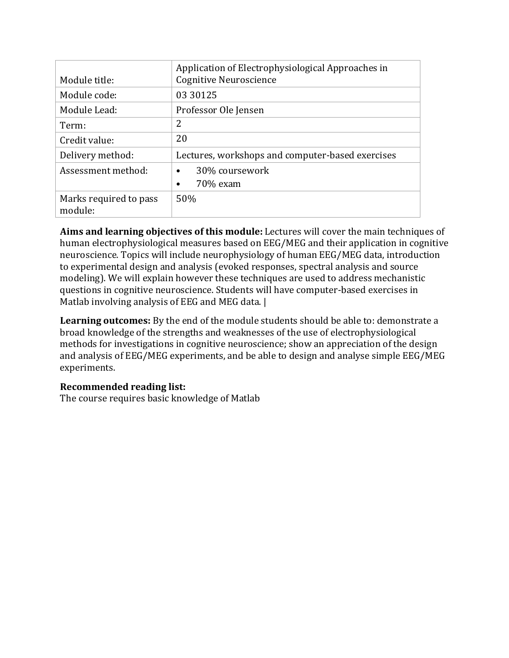| Module title:                     | Application of Electrophysiological Approaches in<br><b>Cognitive Neuroscience</b> |  |
|-----------------------------------|------------------------------------------------------------------------------------|--|
| Module code:                      | 03 30125                                                                           |  |
| Module Lead:                      | Professor Ole Jensen                                                               |  |
| Term:                             | 2                                                                                  |  |
| Credit value:                     | 20                                                                                 |  |
| Delivery method:                  | Lectures, workshops and computer-based exercises                                   |  |
| Assessment method:                | 30% coursework<br>$\bullet$                                                        |  |
|                                   | 70% exam<br>٠                                                                      |  |
| Marks required to pass<br>module: | 50%                                                                                |  |

**Aims and learning objectives of this module:** Lectures will cover the main techniques of human electrophysiological measures based on EEG/MEG and their application in cognitive neuroscience. Topics will include neurophysiology of human EEG/MEG data, introduction to experimental design and analysis (evoked responses, spectral analysis and source modeling). We will explain however these techniques are used to address mechanistic questions in cognitive neuroscience. Students will have computer-based exercises in Matlab involving analysis of EEG and MEG data. |

Learning outcomes: By the end of the module students should be able to: demonstrate a broad knowledge of the strengths and weaknesses of the use of electrophysiological methods for investigations in cognitive neuroscience; show an appreciation of the design and analysis of EEG/MEG experiments, and be able to design and analyse simple EEG/MEG experiments.

# **Recommended reading list:**

The course requires basic knowledge of Matlab